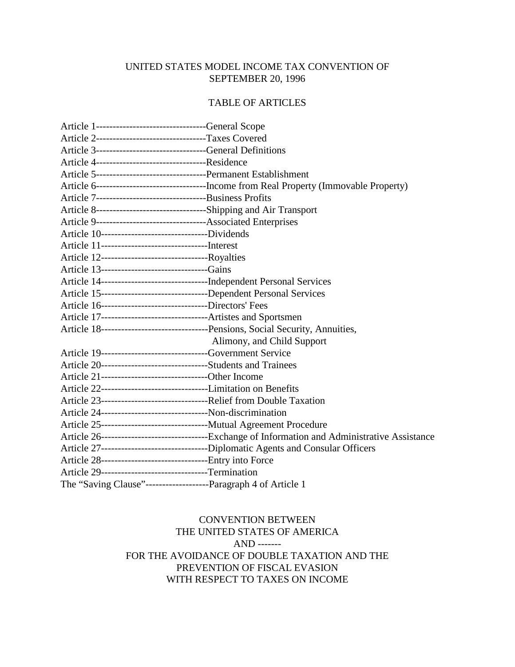# UNITED STATES MODEL INCOME TAX CONVENTION OF SEPTEMBER 20, 1996

# TABLE OF ARTICLES

| Article 1-------------------------------General Scope         |                                                                                                   |
|---------------------------------------------------------------|---------------------------------------------------------------------------------------------------|
| Article 2---------------------------------Taxes Covered       |                                                                                                   |
| Article 3---------------------------------General Definitions |                                                                                                   |
|                                                               |                                                                                                   |
|                                                               |                                                                                                   |
|                                                               | Article 6-----------------------------------Income from Real Property (Immovable Property)        |
|                                                               |                                                                                                   |
|                                                               | Article 8-----------------------------------Shipping and Air Transport                            |
|                                                               | Article 9----------------------------------Associated Enterprises                                 |
| Article 10---------------------------------Dividends          |                                                                                                   |
|                                                               |                                                                                                   |
| Article 12-----------------------------------Royalties        |                                                                                                   |
| Article 13------------------------------Gains                 |                                                                                                   |
|                                                               |                                                                                                   |
|                                                               | Article 15-----------------------------------Dependent Personal Services                          |
| Article 16---------------------------------Directors' Fees    |                                                                                                   |
|                                                               | Article 17-----------------------------------Artistes and Sportsmen                               |
|                                                               | Article 18----------------------------------Pensions, Social Security, Annuities,                 |
|                                                               | Alimony, and Child Support                                                                        |
| Article 19---------------------------------Government Service |                                                                                                   |
|                                                               | Article 20----------------------------------Students and Trainees                                 |
|                                                               |                                                                                                   |
|                                                               |                                                                                                   |
|                                                               |                                                                                                   |
| Article 24--------------------------------Non-discrimination  |                                                                                                   |
|                                                               |                                                                                                   |
|                                                               | Article 26----------------------------------Exchange of Information and Administrative Assistance |
|                                                               | Article 27-----------------------------------Diplomatic Agents and Consular Officers              |
| Article 28---------------------------------Entry into Force   |                                                                                                   |
| Article 29--------------------------------Termination         |                                                                                                   |
|                                                               | The "Saving Clause"--------------------Paragraph 4 of Article 1                                   |

# CONVENTION BETWEEN THE UNITED STATES OF AMERICA AND ------- FOR THE AVOIDANCE OF DOUBLE TAXATION AND THE PREVENTION OF FISCAL EVASION WITH RESPECT TO TAXES ON INCOME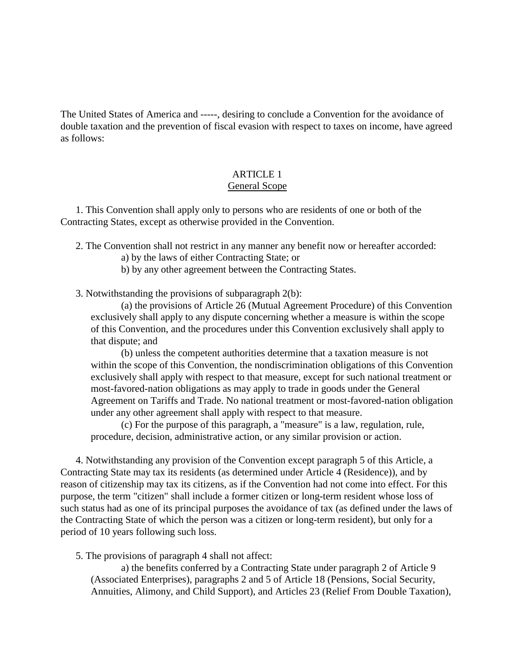<span id="page-1-0"></span>The United States of America and -----, desiring to conclude a Convention for the avoidance of double taxation and the prevention of fiscal evasion with respect to taxes on income, have agreed as follows:

# ARTICLE 1

# General Scope

 1. This Convention shall apply only to persons who are residents of one or both of the Contracting States, except as otherwise provided in the Convention.

2. The Convention shall not restrict in any manner any benefit now or hereafter accorded:

- a) by the laws of either Contracting State; or
- b) by any other agreement between the Contracting States.

3. Notwithstanding the provisions of subparagraph 2(b):

(a) the provisions of Article 26 (Mutual Agreement Procedure) of this Convention exclusively shall apply to any dispute concerning whether a measure is within the scope of this Convention, and the procedures under this Convention exclusively shall apply to that dispute; and

(b) unless the competent authorities determine that a taxation measure is not within the scope of this Convention, the nondiscrimination obligations of this Convention exclusively shall apply with respect to that measure, except for such national treatment or most-favored-nation obligations as may apply to trade in goods under the General Agreement on Tariffs and Trade. No national treatment or most-favored-nation obligation under any other agreement shall apply with respect to that measure.

(c) For the purpose of this paragraph, a "measure" is a law, regulation, rule, procedure, decision, administrative action, or any similar provision or action.

 4. Notwithstanding any provision of the Convention except paragraph 5 of this Article, a Contracting State may tax its residents (as determined under Article 4 (Residence)), and by reason of citizenship may tax its citizens, as if the Convention had not come into effect. For this purpose, the term "citizen" shall include a former citizen or long-term resident whose loss of such status had as one of its principal purposes the avoidance of tax (as defined under the laws of the Contracting State of which the person was a citizen or long-term resident), but only for a period of 10 years following such loss.

5. The provisions of paragraph 4 shall not affect:

a) the benefits conferred by a Contracting State under paragraph 2 of Article 9 (Associated Enterprises), paragraphs 2 and 5 of Article 18 (Pensions, Social Security, Annuities, Alimony, and Child Support), and Articles 23 (Relief From Double Taxation),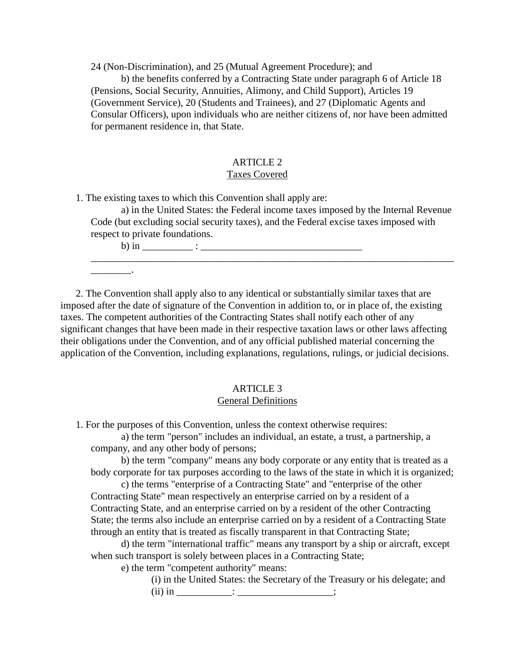<span id="page-2-0"></span>24 (Non-Discrimination), and 25 (Mutual Agreement Procedure); and b) the benefits conferred by a Contracting State under paragraph 6 of Article 18 (Pensions, Social Security, Annuities, Alimony, and Child Support), Articles 19 (Government Service), 20 (Students and Trainees), and 27 (Diplomatic Agents and Consular Officers), upon individuals who are neither citizens of, nor have been admitted for permanent residence in, that State.

# ARTICLE 2

# Taxes Covered

1. The existing taxes to which this Convention shall apply are:

a) in the United States: the Federal income taxes imposed by the Internal Revenue Code (but excluding social security taxes), and the Federal excise taxes imposed with respect to private foundations.

\_\_\_\_\_\_\_\_\_\_\_\_\_\_\_\_\_\_\_\_\_\_\_\_\_\_\_\_\_\_\_\_\_\_\_\_\_\_\_\_\_\_\_\_\_\_\_\_\_\_\_\_\_\_\_\_\_\_\_\_\_\_\_\_\_\_\_\_\_\_\_\_

b) in \_\_\_\_\_\_\_\_\_\_ : \_\_\_\_\_\_\_\_\_\_\_\_\_\_\_\_\_\_\_\_\_\_\_\_\_\_\_\_\_\_\_\_

 $\frac{1}{2}$ 

 2. The Convention shall apply also to any identical or substantially similar taxes that are imposed after the date of signature of the Convention in addition to, or in place of, the existing taxes. The competent authorities of the Contracting States shall notify each other of any significant changes that have been made in their respective taxation laws or other laws affecting their obligations under the Convention, and of any official published material concerning the application of the Convention, including explanations, regulations, rulings, or judicial decisions.

# ARTICLE 3

# General Definitions

1. For the purposes of this Convention, unless the context otherwise requires:

a) the term "person" includes an individual, an estate, a trust, a partnership, a company, and any other body of persons;

b) the term "company" means any body corporate or any entity that is treated as a body corporate for tax purposes according to the laws of the state in which it is organized;

c) the terms "enterprise of a Contracting State" and "enterprise of the other Contracting State" mean respectively an enterprise carried on by a resident of a Contracting State, and an enterprise carried on by a resident of the other Contracting State; the terms also include an enterprise carried on by a resident of a Contracting State through an entity that is treated as fiscally transparent in that Contracting State;

d) the term "international traffic" means any transport by a ship or aircraft, except when such transport is solely between places in a Contracting State;

e) the term "competent authority" means:

(i) in the United States: the Secretary of the Treasury or his delegate; and (ii) in \_\_\_\_\_\_\_\_\_\_\_\_\_: \_\_\_\_\_\_\_\_\_\_\_\_\_\_\_\_\_\_;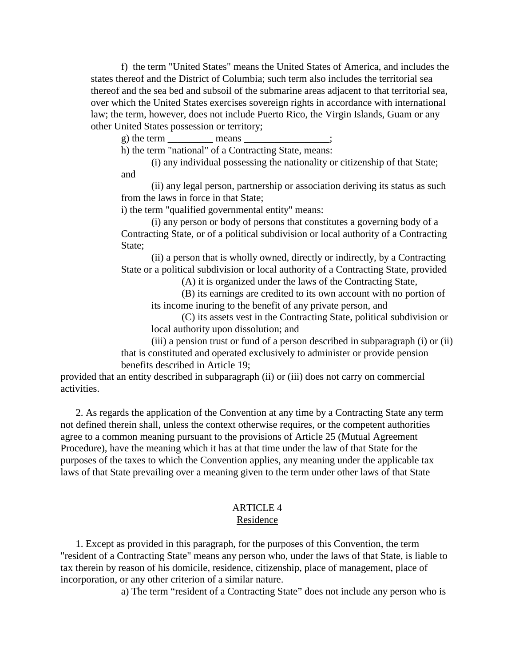<span id="page-3-0"></span>f) the term "United States" means the United States of America, and includes the states thereof and the District of Columbia; such term also includes the territorial sea thereof and the sea bed and subsoil of the submarine areas adjacent to that territorial sea, over which the United States exercises sovereign rights in accordance with international law; the term, however, does not include Puerto Rico, the Virgin Islands, Guam or any other United States possession or territory;

g) the term  $\qquad \qquad$  means

h) the term "national" of a Contracting State, means:

(i) any individual possessing the nationality or citizenship of that State; and

(ii) any legal person, partnership or association deriving its status as such from the laws in force in that State;

i) the term "qualified governmental entity" means:

(i) any person or body of persons that constitutes a governing body of a Contracting State, or of a political subdivision or local authority of a Contracting State;

(ii) a person that is wholly owned, directly or indirectly, by a Contracting State or a political subdivision or local authority of a Contracting State, provided

(A) it is organized under the laws of the Contracting State,

(B) its earnings are credited to its own account with no portion of its income inuring to the benefit of any private person, and

(C) its assets vest in the Contracting State, political subdivision or local authority upon dissolution; and

(iii) a pension trust or fund of a person described in subparagraph (i) or (ii) that is constituted and operated exclusively to administer or provide pension benefits described in Article 19;

provided that an entity described in subparagraph (ii) or (iii) does not carry on commercial activities.

 2. As regards the application of the Convention at any time by a Contracting State any term not defined therein shall, unless the context otherwise requires, or the competent authorities agree to a common meaning pursuant to the provisions of Article 25 (Mutual Agreement Procedure), have the meaning which it has at that time under the law of that State for the purposes of the taxes to which the Convention applies, any meaning under the applicable tax laws of that State prevailing over a meaning given to the term under other laws of that State

# ARTICLE 4

# Residence

 1. Except as provided in this paragraph, for the purposes of this Convention, the term "resident of a Contracting State" means any person who, under the laws of that State, is liable to tax therein by reason of his domicile, residence, citizenship, place of management, place of incorporation, or any other criterion of a similar nature.

a) The term "resident of a Contracting State" does not include any person who is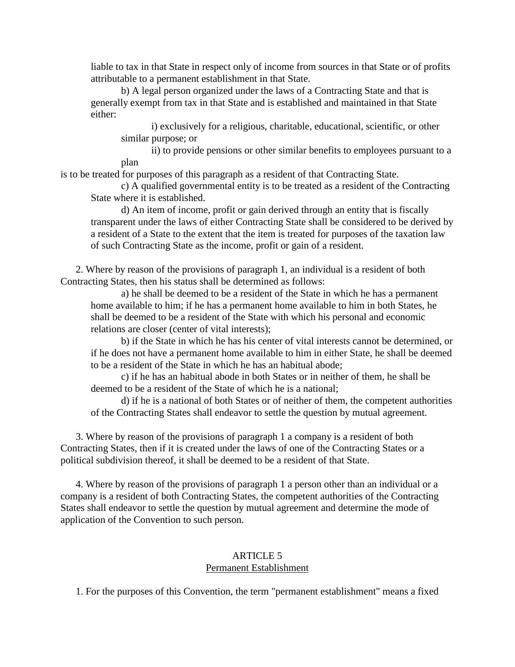<span id="page-4-0"></span>liable to tax in that State in respect only of income from sources in that State or of profits attributable to a permanent establishment in that State.

b) A legal person organized under the laws of a Contracting State and that is generally exempt from tax in that State and is established and maintained in that State either:

i) exclusively for a religious, charitable, educational, scientific, or other similar purpose; or

ii) to provide pensions or other similar benefits to employees pursuant to a plan

is to be treated for purposes of this paragraph as a resident of that Contracting State.

c) A qualified governmental entity is to be treated as a resident of the Contracting State where it is established.

d) An item of income, profit or gain derived through an entity that is fiscally transparent under the laws of either Contracting State shall be considered to be derived by a resident of a State to the extent that the item is treated for purposes of the taxation law of such Contracting State as the income, profit or gain of a resident.

 2. Where by reason of the provisions of paragraph 1, an individual is a resident of both Contracting States, then his status shall be determined as follows:

a) he shall be deemed to be a resident of the State in which he has a permanent home available to him; if he has a permanent home available to him in both States, he shall be deemed to be a resident of the State with which his personal and economic relations are closer (center of vital interests);

b) if the State in which he has his center of vital interests cannot be determined, or if he does not have a permanent home available to him in either State, he shall be deemed to be a resident of the State in which he has an habitual abode;

c) if he has an habitual abode in both States or in neither of them, he shall be deemed to be a resident of the State of which he is a national;

d) if he is a national of both States or of neither of them, the competent authorities of the Contracting States shall endeavor to settle the question by mutual agreement.

 3. Where by reason of the provisions of paragraph 1 a company is a resident of both Contracting States, then if it is created under the laws of one of the Contracting States or a political subdivision thereof, it shall be deemed to be a resident of that State.

 4. Where by reason of the provisions of paragraph 1 a person other than an individual or a company is a resident of both Contracting States, the competent authorities of the Contracting States shall endeavor to settle the question by mutual agreement and determine the mode of application of the Convention to such person.

# ARTICLE 5 Permanent Establishment

1. For the purposes of this Convention, the term "permanent establishment" means a fixed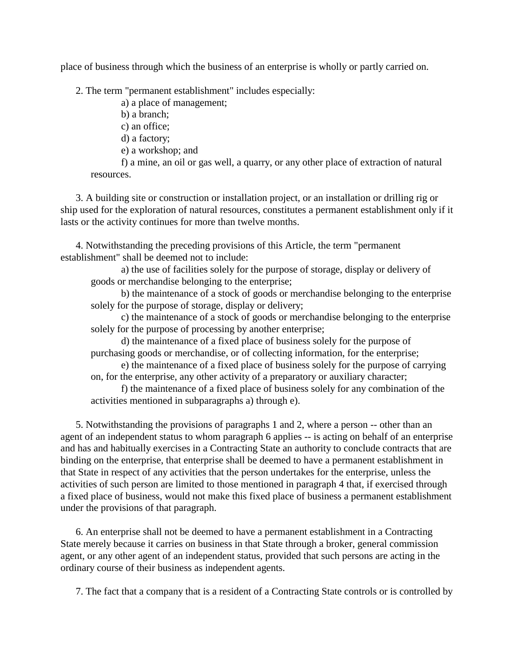place of business through which the business of an enterprise is wholly or partly carried on.

2. The term "permanent establishment" includes especially:

a) a place of management; b) a branch; c) an office; d) a factory; e) a workshop; and f) a mine, an oil or gas well, a quarry, or any other place of extraction of natural resources.

 3. A building site or construction or installation project, or an installation or drilling rig or ship used for the exploration of natural resources, constitutes a permanent establishment only if it lasts or the activity continues for more than twelve months.

 4. Notwithstanding the preceding provisions of this Article, the term "permanent establishment" shall be deemed not to include:

a) the use of facilities solely for the purpose of storage, display or delivery of goods or merchandise belonging to the enterprise;

b) the maintenance of a stock of goods or merchandise belonging to the enterprise solely for the purpose of storage, display or delivery;

c) the maintenance of a stock of goods or merchandise belonging to the enterprise solely for the purpose of processing by another enterprise;

d) the maintenance of a fixed place of business solely for the purpose of purchasing goods or merchandise, or of collecting information, for the enterprise;

e) the maintenance of a fixed place of business solely for the purpose of carrying on, for the enterprise, any other activity of a preparatory or auxiliary character;

f) the maintenance of a fixed place of business solely for any combination of the activities mentioned in subparagraphs a) through e).

 5. Notwithstanding the provisions of paragraphs 1 and 2, where a person -- other than an agent of an independent status to whom paragraph 6 applies -- is acting on behalf of an enterprise and has and habitually exercises in a Contracting State an authority to conclude contracts that are binding on the enterprise, that enterprise shall be deemed to have a permanent establishment in that State in respect of any activities that the person undertakes for the enterprise, unless the activities of such person are limited to those mentioned in paragraph 4 that, if exercised through a fixed place of business, would not make this fixed place of business a permanent establishment under the provisions of that paragraph.

 6. An enterprise shall not be deemed to have a permanent establishment in a Contracting State merely because it carries on business in that State through a broker, general commission agent, or any other agent of an independent status, provided that such persons are acting in the ordinary course of their business as independent agents.

7. The fact that a company that is a resident of a Contracting State controls or is controlled by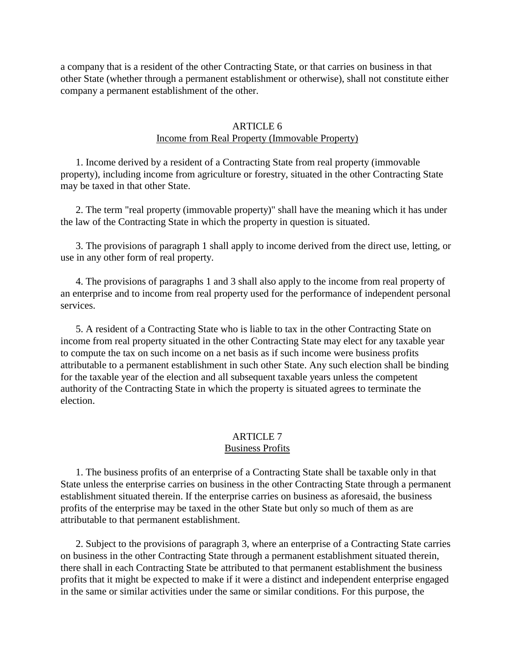<span id="page-6-0"></span>a company that is a resident of the other Contracting State, or that carries on business in that other State (whether through a permanent establishment or otherwise), shall not constitute either company a permanent establishment of the other.

#### ARTICLE 6 Income from Real Property (Immovable Property)

 1. Income derived by a resident of a Contracting State from real property (immovable property), including income from agriculture or forestry, situated in the other Contracting State may be taxed in that other State.

 2. The term "real property (immovable property)" shall have the meaning which it has under the law of the Contracting State in which the property in question is situated.

 3. The provisions of paragraph 1 shall apply to income derived from the direct use, letting, or use in any other form of real property.

 4. The provisions of paragraphs 1 and 3 shall also apply to the income from real property of an enterprise and to income from real property used for the performance of independent personal services.

 5. A resident of a Contracting State who is liable to tax in the other Contracting State on income from real property situated in the other Contracting State may elect for any taxable year to compute the tax on such income on a net basis as if such income were business profits attributable to a permanent establishment in such other State. Any such election shall be binding for the taxable year of the election and all subsequent taxable years unless the competent authority of the Contracting State in which the property is situated agrees to terminate the election.

# ARTICLE 7

# Business Profits

 1. The business profits of an enterprise of a Contracting State shall be taxable only in that State unless the enterprise carries on business in the other Contracting State through a permanent establishment situated therein. If the enterprise carries on business as aforesaid, the business profits of the enterprise may be taxed in the other State but only so much of them as are attributable to that permanent establishment.

 2. Subject to the provisions of paragraph 3, where an enterprise of a Contracting State carries on business in the other Contracting State through a permanent establishment situated therein, there shall in each Contracting State be attributed to that permanent establishment the business profits that it might be expected to make if it were a distinct and independent enterprise engaged in the same or similar activities under the same or similar conditions. For this purpose, the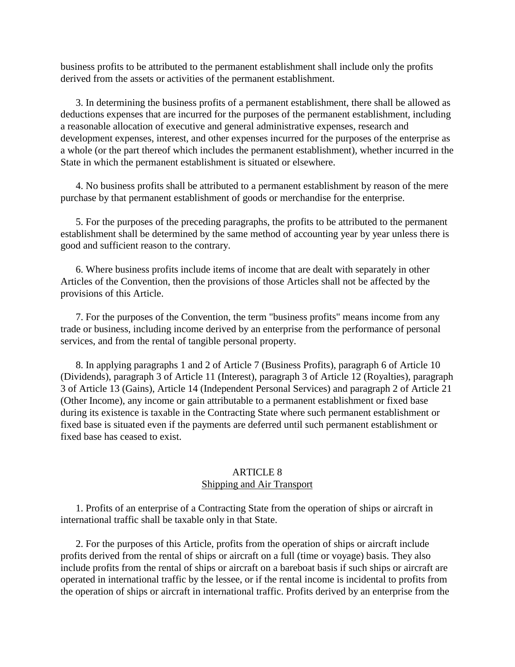<span id="page-7-0"></span>business profits to be attributed to the permanent establishment shall include only the profits derived from the assets or activities of the permanent establishment.

 3. In determining the business profits of a permanent establishment, there shall be allowed as deductions expenses that are incurred for the purposes of the permanent establishment, including a reasonable allocation of executive and general administrative expenses, research and development expenses, interest, and other expenses incurred for the purposes of the enterprise as a whole (or the part thereof which includes the permanent establishment), whether incurred in the State in which the permanent establishment is situated or elsewhere.

 4. No business profits shall be attributed to a permanent establishment by reason of the mere purchase by that permanent establishment of goods or merchandise for the enterprise.

 5. For the purposes of the preceding paragraphs, the profits to be attributed to the permanent establishment shall be determined by the same method of accounting year by year unless there is good and sufficient reason to the contrary.

 6. Where business profits include items of income that are dealt with separately in other Articles of the Convention, then the provisions of those Articles shall not be affected by the provisions of this Article.

 7. For the purposes of the Convention, the term "business profits" means income from any trade or business, including income derived by an enterprise from the performance of personal services, and from the rental of tangible personal property.

 8. In applying paragraphs 1 and 2 of Article 7 (Business Profits), paragraph 6 of Article 10 (Dividends), paragraph 3 of Article 11 (Interest), paragraph 3 of Article 12 (Royalties), paragraph 3 of Article 13 (Gains), Article 14 (Independent Personal Services) and paragraph 2 of Article 21 (Other Income), any income or gain attributable to a permanent establishment or fixed base during its existence is taxable in the Contracting State where such permanent establishment or fixed base is situated even if the payments are deferred until such permanent establishment or fixed base has ceased to exist.

# ARTICLE 8 Shipping and Air Transport

 1. Profits of an enterprise of a Contracting State from the operation of ships or aircraft in international traffic shall be taxable only in that State.

 2. For the purposes of this Article, profits from the operation of ships or aircraft include profits derived from the rental of ships or aircraft on a full (time or voyage) basis. They also include profits from the rental of ships or aircraft on a bareboat basis if such ships or aircraft are operated in international traffic by the lessee, or if the rental income is incidental to profits from the operation of ships or aircraft in international traffic. Profits derived by an enterprise from the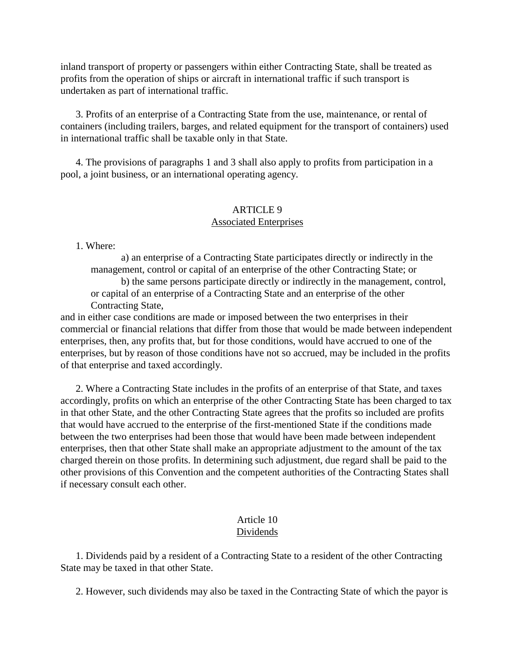<span id="page-8-0"></span>inland transport of property or passengers within either Contracting State, shall be treated as profits from the operation of ships or aircraft in international traffic if such transport is undertaken as part of international traffic.

 3. Profits of an enterprise of a Contracting State from the use, maintenance, or rental of containers (including trailers, barges, and related equipment for the transport of containers) used in international traffic shall be taxable only in that State.

 4. The provisions of paragraphs 1 and 3 shall also apply to profits from participation in a pool, a joint business, or an international operating agency.

# ARTICLE 9 Associated Enterprises

1. Where:

a) an enterprise of a Contracting State participates directly or indirectly in the management, control or capital of an enterprise of the other Contracting State; or b) the same persons participate directly or indirectly in the management, control, or capital of an enterprise of a Contracting State and an enterprise of the other Contracting State,

and in either case conditions are made or imposed between the two enterprises in their commercial or financial relations that differ from those that would be made between independent enterprises, then, any profits that, but for those conditions, would have accrued to one of the enterprises, but by reason of those conditions have not so accrued, may be included in the profits of that enterprise and taxed accordingly.

 2. Where a Contracting State includes in the profits of an enterprise of that State, and taxes accordingly, profits on which an enterprise of the other Contracting State has been charged to tax in that other State, and the other Contracting State agrees that the profits so included are profits that would have accrued to the enterprise of the first-mentioned State if the conditions made between the two enterprises had been those that would have been made between independent enterprises, then that other State shall make an appropriate adjustment to the amount of the tax charged therein on those profits. In determining such adjustment, due regard shall be paid to the other provisions of this Convention and the competent authorities of the Contracting States shall if necessary consult each other.

# Article 10 Dividends

 1. Dividends paid by a resident of a Contracting State to a resident of the other Contracting State may be taxed in that other State.

2. However, such dividends may also be taxed in the Contracting State of which the payor is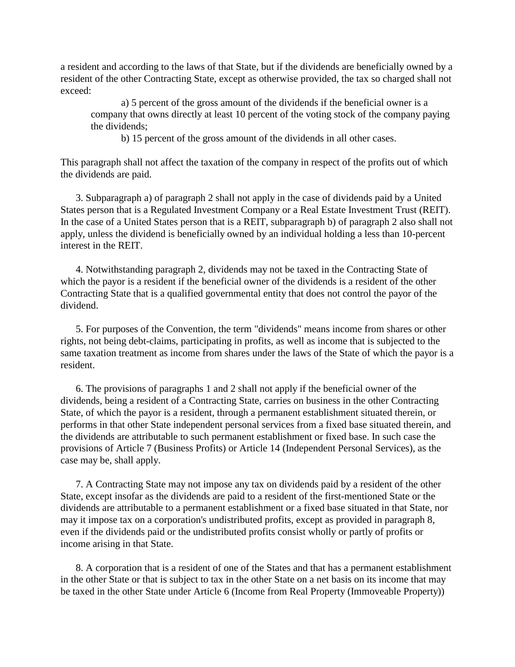a resident and according to the laws of that State, but if the dividends are beneficially owned by a resident of the other Contracting State, except as otherwise provided, the tax so charged shall not exceed:

a) 5 percent of the gross amount of the dividends if the beneficial owner is a company that owns directly at least 10 percent of the voting stock of the company paying the dividends;

b) 15 percent of the gross amount of the dividends in all other cases.

This paragraph shall not affect the taxation of the company in respect of the profits out of which the dividends are paid.

 3. Subparagraph a) of paragraph 2 shall not apply in the case of dividends paid by a United States person that is a Regulated Investment Company or a Real Estate Investment Trust (REIT). In the case of a United States person that is a REIT, subparagraph b) of paragraph 2 also shall not apply, unless the dividend is beneficially owned by an individual holding a less than 10-percent interest in the REIT.

 4. Notwithstanding paragraph 2, dividends may not be taxed in the Contracting State of which the payor is a resident if the beneficial owner of the dividends is a resident of the other Contracting State that is a qualified governmental entity that does not control the payor of the dividend.

 5. For purposes of the Convention, the term "dividends" means income from shares or other rights, not being debt-claims, participating in profits, as well as income that is subjected to the same taxation treatment as income from shares under the laws of the State of which the payor is a resident.

 6. The provisions of paragraphs 1 and 2 shall not apply if the beneficial owner of the dividends, being a resident of a Contracting State, carries on business in the other Contracting State, of which the payor is a resident, through a permanent establishment situated therein, or performs in that other State independent personal services from a fixed base situated therein, and the dividends are attributable to such permanent establishment or fixed base. In such case the provisions of Article 7 (Business Profits) or Article 14 (Independent Personal Services), as the case may be, shall apply.

 7. A Contracting State may not impose any tax on dividends paid by a resident of the other State, except insofar as the dividends are paid to a resident of the first-mentioned State or the dividends are attributable to a permanent establishment or a fixed base situated in that State, nor may it impose tax on a corporation's undistributed profits, except as provided in paragraph 8, even if the dividends paid or the undistributed profits consist wholly or partly of profits or income arising in that State.

 8. A corporation that is a resident of one of the States and that has a permanent establishment in the other State or that is subject to tax in the other State on a net basis on its income that may be taxed in the other State under Article 6 (Income from Real Property (Immoveable Property))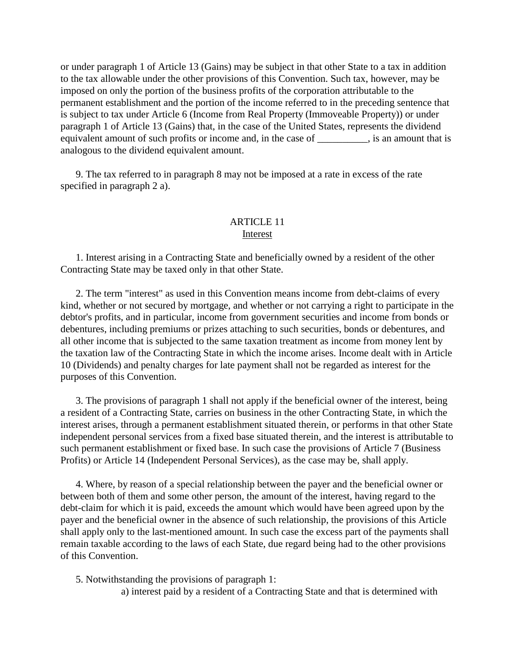<span id="page-10-0"></span>or under paragraph 1 of Article 13 (Gains) may be subject in that other State to a tax in addition to the tax allowable under the other provisions of this Convention. Such tax, however, may be imposed on only the portion of the business profits of the corporation attributable to the permanent establishment and the portion of the income referred to in the preceding sentence that is subject to tax under Article 6 (Income from Real Property (Immoveable Property)) or under paragraph 1 of Article 13 (Gains) that, in the case of the United States, represents the dividend equivalent amount of such profits or income and, in the case of \_\_\_\_\_\_\_\_, is an amount that is analogous to the dividend equivalent amount.

 9. The tax referred to in paragraph 8 may not be imposed at a rate in excess of the rate specified in paragraph 2 a).

# ARTICLE 11 Interest

 1. Interest arising in a Contracting State and beneficially owned by a resident of the other Contracting State may be taxed only in that other State.

 2. The term "interest" as used in this Convention means income from debt-claims of every kind, whether or not secured by mortgage, and whether or not carrying a right to participate in the debtor's profits, and in particular, income from government securities and income from bonds or debentures, including premiums or prizes attaching to such securities, bonds or debentures, and all other income that is subjected to the same taxation treatment as income from money lent by the taxation law of the Contracting State in which the income arises. Income dealt with in Article 10 (Dividends) and penalty charges for late payment shall not be regarded as interest for the purposes of this Convention.

 3. The provisions of paragraph 1 shall not apply if the beneficial owner of the interest, being a resident of a Contracting State, carries on business in the other Contracting State, in which the interest arises, through a permanent establishment situated therein, or performs in that other State independent personal services from a fixed base situated therein, and the interest is attributable to such permanent establishment or fixed base. In such case the provisions of Article 7 (Business Profits) or Article 14 (Independent Personal Services), as the case may be, shall apply.

 4. Where, by reason of a special relationship between the payer and the beneficial owner or between both of them and some other person, the amount of the interest, having regard to the debt-claim for which it is paid, exceeds the amount which would have been agreed upon by the payer and the beneficial owner in the absence of such relationship, the provisions of this Article shall apply only to the last-mentioned amount. In such case the excess part of the payments shall remain taxable according to the laws of each State, due regard being had to the other provisions of this Convention.

5. Notwithstanding the provisions of paragraph 1:

a) interest paid by a resident of a Contracting State and that is determined with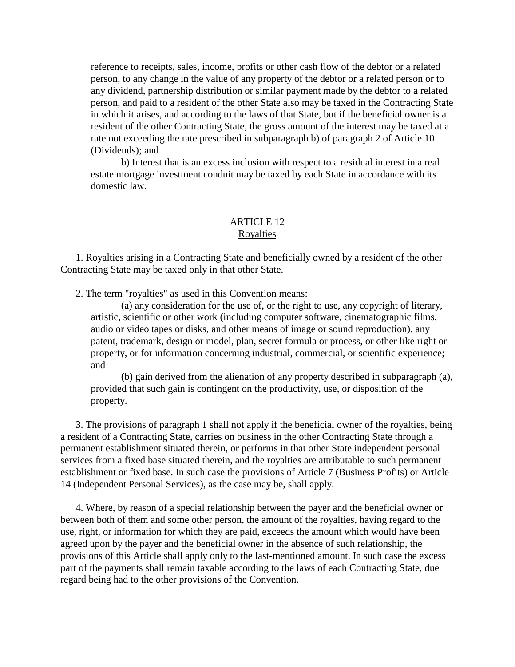<span id="page-11-0"></span>reference to receipts, sales, income, profits or other cash flow of the debtor or a related person, to any change in the value of any property of the debtor or a related person or to any dividend, partnership distribution or similar payment made by the debtor to a related person, and paid to a resident of the other State also may be taxed in the Contracting State in which it arises, and according to the laws of that State, but if the beneficial owner is a resident of the other Contracting State, the gross amount of the interest may be taxed at a rate not exceeding the rate prescribed in subparagraph b) of paragraph 2 of Article 10 (Dividends); and

b) Interest that is an excess inclusion with respect to a residual interest in a real estate mortgage investment conduit may be taxed by each State in accordance with its domestic law.

# ARTICLE 12 Royalties

 1. Royalties arising in a Contracting State and beneficially owned by a resident of the other Contracting State may be taxed only in that other State.

2. The term "royalties" as used in this Convention means:

(a) any consideration for the use of, or the right to use, any copyright of literary, artistic, scientific or other work (including computer software, cinematographic films, audio or video tapes or disks, and other means of image or sound reproduction), any patent, trademark, design or model, plan, secret formula or process, or other like right or property, or for information concerning industrial, commercial, or scientific experience; and

(b) gain derived from the alienation of any property described in subparagraph (a), provided that such gain is contingent on the productivity, use, or disposition of the property.

 3. The provisions of paragraph 1 shall not apply if the beneficial owner of the royalties, being a resident of a Contracting State, carries on business in the other Contracting State through a permanent establishment situated therein, or performs in that other State independent personal services from a fixed base situated therein, and the royalties are attributable to such permanent establishment or fixed base. In such case the provisions of Article 7 (Business Profits) or Article 14 (Independent Personal Services), as the case may be, shall apply.

 4. Where, by reason of a special relationship between the payer and the beneficial owner or between both of them and some other person, the amount of the royalties, having regard to the use, right, or information for which they are paid, exceeds the amount which would have been agreed upon by the payer and the beneficial owner in the absence of such relationship, the provisions of this Article shall apply only to the last-mentioned amount. In such case the excess part of the payments shall remain taxable according to the laws of each Contracting State, due regard being had to the other provisions of the Convention.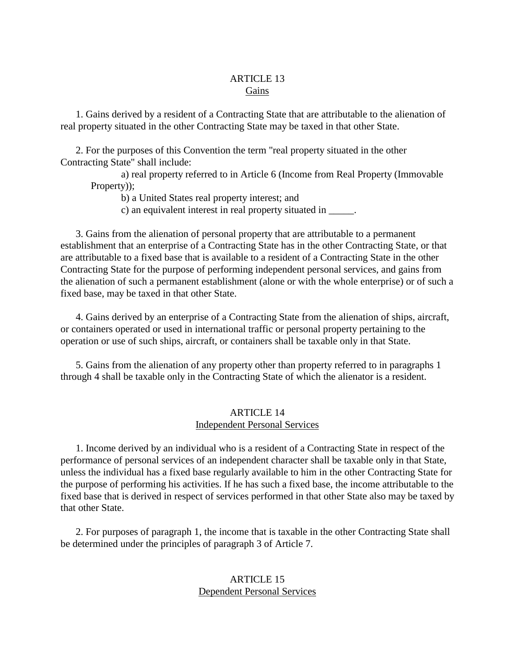### ARTICLE 13 Gains

<span id="page-12-0"></span> 1. Gains derived by a resident of a Contracting State that are attributable to the alienation of real property situated in the other Contracting State may be taxed in that other State.

 2. For the purposes of this Convention the term "real property situated in the other Contracting State" shall include:

a) real property referred to in Article 6 (Income from Real Property (Immovable Property));

b) a United States real property interest; and

c) an equivalent interest in real property situated in \_\_\_\_\_\_.

 3. Gains from the alienation of personal property that are attributable to a permanent establishment that an enterprise of a Contracting State has in the other Contracting State, or that are attributable to a fixed base that is available to a resident of a Contracting State in the other Contracting State for the purpose of performing independent personal services, and gains from the alienation of such a permanent establishment (alone or with the whole enterprise) or of such a fixed base, may be taxed in that other State.

 4. Gains derived by an enterprise of a Contracting State from the alienation of ships, aircraft, or containers operated or used in international traffic or personal property pertaining to the operation or use of such ships, aircraft, or containers shall be taxable only in that State.

 5. Gains from the alienation of any property other than property referred to in paragraphs 1 through 4 shall be taxable only in the Contracting State of which the alienator is a resident.

#### ARTICLE 14 Independent Personal Services

 1. Income derived by an individual who is a resident of a Contracting State in respect of the performance of personal services of an independent character shall be taxable only in that State, unless the individual has a fixed base regularly available to him in the other Contracting State for the purpose of performing his activities. If he has such a fixed base, the income attributable to the fixed base that is derived in respect of services performed in that other State also may be taxed by that other State.

 2. For purposes of paragraph 1, the income that is taxable in the other Contracting State shall be determined under the principles of paragraph 3 of Article 7.

# ARTICLE 15 Dependent Personal Services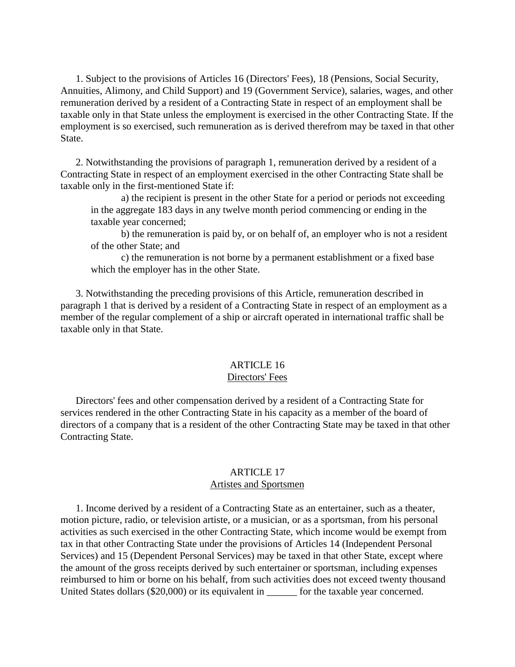<span id="page-13-0"></span> 1. Subject to the provisions of Articles 16 (Directors' Fees), 18 (Pensions, Social Security, Annuities, Alimony, and Child Support) and 19 (Government Service), salaries, wages, and other remuneration derived by a resident of a Contracting State in respect of an employment shall be taxable only in that State unless the employment is exercised in the other Contracting State. If the employment is so exercised, such remuneration as is derived therefrom may be taxed in that other State.

 2. Notwithstanding the provisions of paragraph 1, remuneration derived by a resident of a Contracting State in respect of an employment exercised in the other Contracting State shall be taxable only in the first-mentioned State if:

a) the recipient is present in the other State for a period or periods not exceeding in the aggregate 183 days in any twelve month period commencing or ending in the taxable year concerned;

b) the remuneration is paid by, or on behalf of, an employer who is not a resident of the other State; and

c) the remuneration is not borne by a permanent establishment or a fixed base which the employer has in the other State.

 3. Notwithstanding the preceding provisions of this Article, remuneration described in paragraph 1 that is derived by a resident of a Contracting State in respect of an employment as a member of the regular complement of a ship or aircraft operated in international traffic shall be taxable only in that State.

# ARTICLE 16

# Directors' Fees

 Directors' fees and other compensation derived by a resident of a Contracting State for services rendered in the other Contracting State in his capacity as a member of the board of directors of a company that is a resident of the other Contracting State may be taxed in that other Contracting State.

# ARTICLE 17 Artistes and Sportsmen

 1. Income derived by a resident of a Contracting State as an entertainer, such as a theater, motion picture, radio, or television artiste, or a musician, or as a sportsman, from his personal activities as such exercised in the other Contracting State, which income would be exempt from tax in that other Contracting State under the provisions of Articles 14 (Independent Personal Services) and 15 (Dependent Personal Services) may be taxed in that other State, except where the amount of the gross receipts derived by such entertainer or sportsman, including expenses reimbursed to him or borne on his behalf, from such activities does not exceed twenty thousand United States dollars (\$20,000) or its equivalent in \_\_\_\_\_\_ for the taxable year concerned.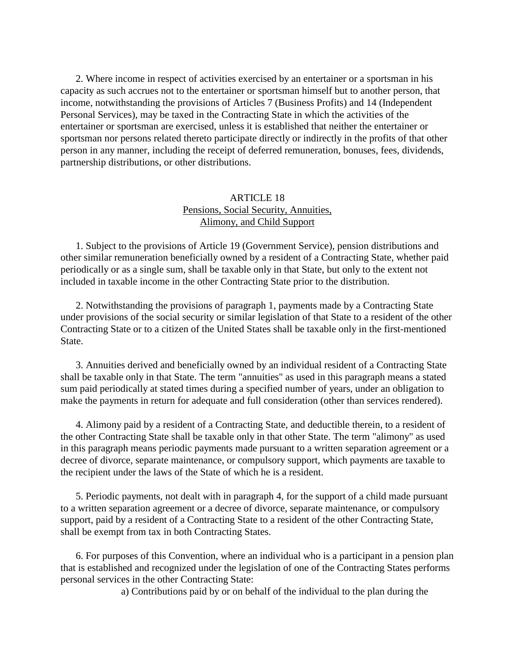<span id="page-14-0"></span> 2. Where income in respect of activities exercised by an entertainer or a sportsman in his capacity as such accrues not to the entertainer or sportsman himself but to another person, that income, notwithstanding the provisions of Articles 7 (Business Profits) and 14 (Independent Personal Services), may be taxed in the Contracting State in which the activities of the entertainer or sportsman are exercised, unless it is established that neither the entertainer or sportsman nor persons related thereto participate directly or indirectly in the profits of that other person in any manner, including the receipt of deferred remuneration, bonuses, fees, dividends, partnership distributions, or other distributions.

# ARTICLE 18 Pensions, Social Security, Annuities, Alimony, and Child Support

 1. Subject to the provisions of Article 19 (Government Service), pension distributions and other similar remuneration beneficially owned by a resident of a Contracting State, whether paid periodically or as a single sum, shall be taxable only in that State, but only to the extent not included in taxable income in the other Contracting State prior to the distribution.

 2. Notwithstanding the provisions of paragraph 1, payments made by a Contracting State under provisions of the social security or similar legislation of that State to a resident of the other Contracting State or to a citizen of the United States shall be taxable only in the first-mentioned State.

 3. Annuities derived and beneficially owned by an individual resident of a Contracting State shall be taxable only in that State. The term "annuities" as used in this paragraph means a stated sum paid periodically at stated times during a specified number of years, under an obligation to make the payments in return for adequate and full consideration (other than services rendered).

 4. Alimony paid by a resident of a Contracting State, and deductible therein, to a resident of the other Contracting State shall be taxable only in that other State. The term "alimony" as used in this paragraph means periodic payments made pursuant to a written separation agreement or a decree of divorce, separate maintenance, or compulsory support, which payments are taxable to the recipient under the laws of the State of which he is a resident.

 5. Periodic payments, not dealt with in paragraph 4, for the support of a child made pursuant to a written separation agreement or a decree of divorce, separate maintenance, or compulsory support, paid by a resident of a Contracting State to a resident of the other Contracting State, shall be exempt from tax in both Contracting States.

 6. For purposes of this Convention, where an individual who is a participant in a pension plan that is established and recognized under the legislation of one of the Contracting States performs personal services in the other Contracting State:

a) Contributions paid by or on behalf of the individual to the plan during the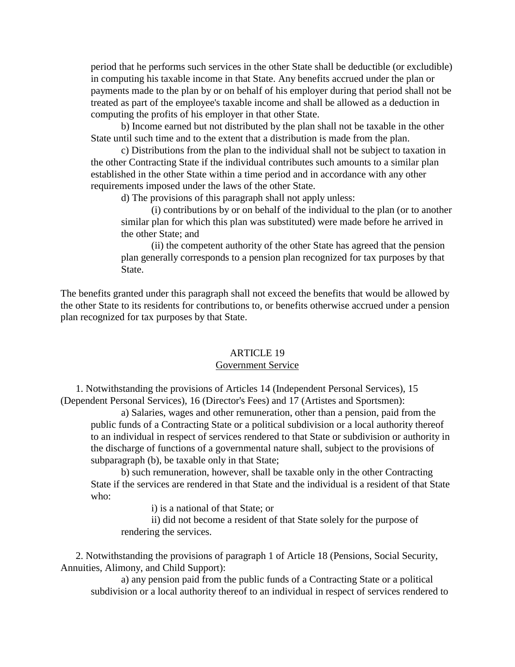<span id="page-15-0"></span>period that he performs such services in the other State shall be deductible (or excludible) in computing his taxable income in that State. Any benefits accrued under the plan or payments made to the plan by or on behalf of his employer during that period shall not be treated as part of the employee's taxable income and shall be allowed as a deduction in computing the profits of his employer in that other State.

b) Income earned but not distributed by the plan shall not be taxable in the other State until such time and to the extent that a distribution is made from the plan.

c) Distributions from the plan to the individual shall not be subject to taxation in the other Contracting State if the individual contributes such amounts to a similar plan established in the other State within a time period and in accordance with any other requirements imposed under the laws of the other State.

d) The provisions of this paragraph shall not apply unless:

(i) contributions by or on behalf of the individual to the plan (or to another similar plan for which this plan was substituted) were made before he arrived in the other State; and

(ii) the competent authority of the other State has agreed that the pension plan generally corresponds to a pension plan recognized for tax purposes by that State.

The benefits granted under this paragraph shall not exceed the benefits that would be allowed by the other State to its residents for contributions to, or benefits otherwise accrued under a pension plan recognized for tax purposes by that State.

# ARTICLE 19

#### Government Service

 1. Notwithstanding the provisions of Articles 14 (Independent Personal Services), 15 (Dependent Personal Services), 16 (Director's Fees) and 17 (Artistes and Sportsmen):

a) Salaries, wages and other remuneration, other than a pension, paid from the public funds of a Contracting State or a political subdivision or a local authority thereof to an individual in respect of services rendered to that State or subdivision or authority in the discharge of functions of a governmental nature shall, subject to the provisions of subparagraph (b), be taxable only in that State;

b) such remuneration, however, shall be taxable only in the other Contracting State if the services are rendered in that State and the individual is a resident of that State who:

i) is a national of that State; or

ii) did not become a resident of that State solely for the purpose of rendering the services.

 2. Notwithstanding the provisions of paragraph 1 of Article 18 (Pensions, Social Security, Annuities, Alimony, and Child Support):

a) any pension paid from the public funds of a Contracting State or a political subdivision or a local authority thereof to an individual in respect of services rendered to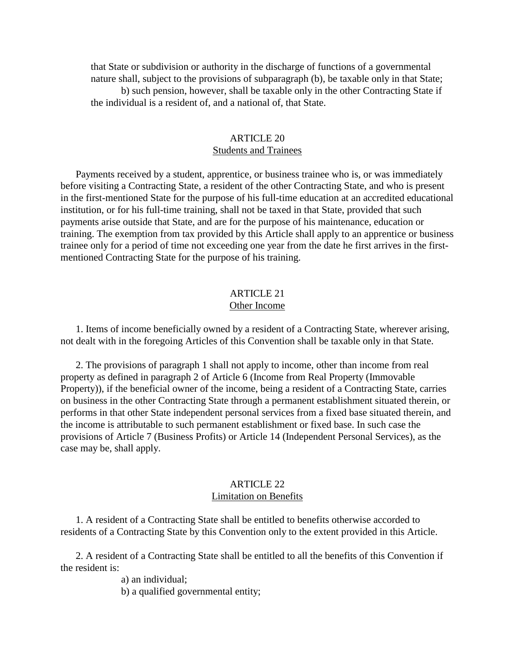<span id="page-16-0"></span>that State or subdivision or authority in the discharge of functions of a governmental nature shall, subject to the provisions of subparagraph (b), be taxable only in that State; b) such pension, however, shall be taxable only in the other Contracting State if the individual is a resident of, and a national of, that State.

## ARTICLE 20 Students and Trainees

 Payments received by a student, apprentice, or business trainee who is, or was immediately before visiting a Contracting State, a resident of the other Contracting State, and who is present in the first-mentioned State for the purpose of his full-time education at an accredited educational institution, or for his full-time training, shall not be taxed in that State, provided that such payments arise outside that State, and are for the purpose of his maintenance, education or training. The exemption from tax provided by this Article shall apply to an apprentice or business trainee only for a period of time not exceeding one year from the date he first arrives in the firstmentioned Contracting State for the purpose of his training.

#### ARTICLE 21 Other Income

 1. Items of income beneficially owned by a resident of a Contracting State, wherever arising, not dealt with in the foregoing Articles of this Convention shall be taxable only in that State.

 2. The provisions of paragraph 1 shall not apply to income, other than income from real property as defined in paragraph 2 of Article 6 (Income from Real Property (Immovable Property)), if the beneficial owner of the income, being a resident of a Contracting State, carries on business in the other Contracting State through a permanent establishment situated therein, or performs in that other State independent personal services from a fixed base situated therein, and the income is attributable to such permanent establishment or fixed base. In such case the provisions of Article 7 (Business Profits) or Article 14 (Independent Personal Services), as the case may be, shall apply.

#### ARTICLE 22 Limitation on Benefits

 1. A resident of a Contracting State shall be entitled to benefits otherwise accorded to residents of a Contracting State by this Convention only to the extent provided in this Article.

 2. A resident of a Contracting State shall be entitled to all the benefits of this Convention if the resident is:

a) an individual;

b) a qualified governmental entity;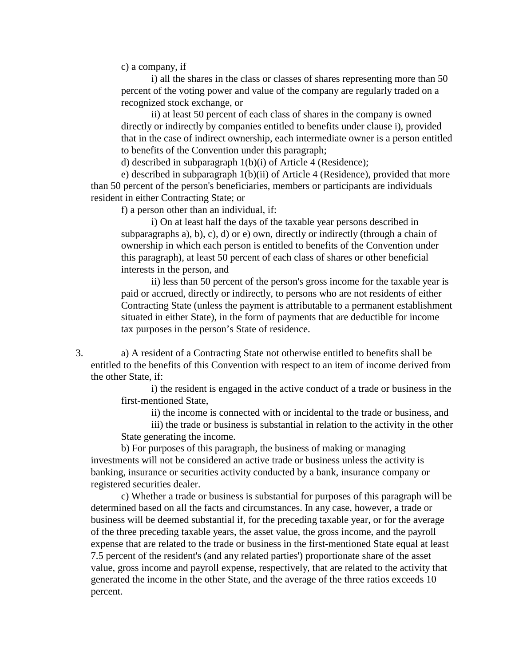c) a company, if

i) all the shares in the class or classes of shares representing more than 50 percent of the voting power and value of the company are regularly traded on a recognized stock exchange, or

ii) at least 50 percent of each class of shares in the company is owned directly or indirectly by companies entitled to benefits under clause i), provided that in the case of indirect ownership, each intermediate owner is a person entitled to benefits of the Convention under this paragraph;

d) described in subparagraph 1(b)(i) of Article 4 (Residence);

e) described in subparagraph 1(b)(ii) of Article 4 (Residence), provided that more than 50 percent of the person's beneficiaries, members or participants are individuals resident in either Contracting State; or

f) a person other than an individual, if:

i) On at least half the days of the taxable year persons described in subparagraphs a), b), c), d) or e) own, directly or indirectly (through a chain of ownership in which each person is entitled to benefits of the Convention under this paragraph), at least 50 percent of each class of shares or other beneficial interests in the person, and

ii) less than 50 percent of the person's gross income for the taxable year is paid or accrued, directly or indirectly, to persons who are not residents of either Contracting State (unless the payment is attributable to a permanent establishment situated in either State), in the form of payments that are deductible for income tax purposes in the person's State of residence.

 3. a) A resident of a Contracting State not otherwise entitled to benefits shall be entitled to the benefits of this Convention with respect to an item of income derived from the other State, if:

> i) the resident is engaged in the active conduct of a trade or business in the first-mentioned State,

ii) the income is connected with or incidental to the trade or business, and

iii) the trade or business is substantial in relation to the activity in the other State generating the income.

b) For purposes of this paragraph, the business of making or managing investments will not be considered an active trade or business unless the activity is banking, insurance or securities activity conducted by a bank, insurance company or registered securities dealer.

c) Whether a trade or business is substantial for purposes of this paragraph will be determined based on all the facts and circumstances. In any case, however, a trade or business will be deemed substantial if, for the preceding taxable year, or for the average of the three preceding taxable years, the asset value, the gross income, and the payroll expense that are related to the trade or business in the first-mentioned State equal at least 7.5 percent of the resident's (and any related parties') proportionate share of the asset value, gross income and payroll expense, respectively, that are related to the activity that generated the income in the other State, and the average of the three ratios exceeds 10 percent.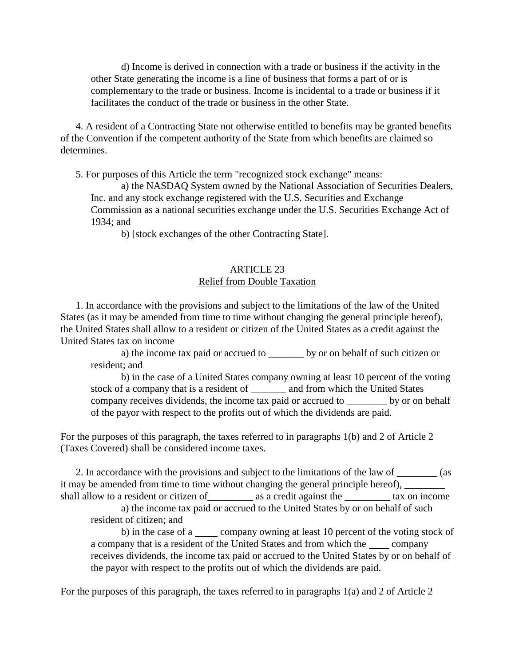<span id="page-18-0"></span>d) Income is derived in connection with a trade or business if the activity in the other State generating the income is a line of business that forms a part of or is complementary to the trade or business. Income is incidental to a trade or business if it facilitates the conduct of the trade or business in the other State.

 4. A resident of a Contracting State not otherwise entitled to benefits may be granted benefits of the Convention if the competent authority of the State from which benefits are claimed so determines.

5. For purposes of this Article the term "recognized stock exchange" means:

a) the NASDAQ System owned by the National Association of Securities Dealers, Inc. and any stock exchange registered with the U.S. Securities and Exchange Commission as a national securities exchange under the U.S. Securities Exchange Act of 1934; and

b) [stock exchanges of the other Contracting State].

# ARTICLE 23 Relief from Double Taxation

 1. In accordance with the provisions and subject to the limitations of the law of the United States (as it may be amended from time to time without changing the general principle hereof), the United States shall allow to a resident or citizen of the United States as a credit against the United States tax on income

a) the income tax paid or accrued to by or on behalf of such citizen or resident; and

b) in the case of a United States company owning at least 10 percent of the voting stock of a company that is a resident of \_\_\_\_\_\_\_ and from which the United States company receives dividends, the income tax paid or accrued to \_\_\_\_\_\_\_\_ by or on behalf of the payor with respect to the profits out of which the dividends are paid.

For the purposes of this paragraph, the taxes referred to in paragraphs 1(b) and 2 of Article 2 (Taxes Covered) shall be considered income taxes.

 2. In accordance with the provisions and subject to the limitations of the law of \_\_\_\_\_\_\_\_ (as it may be amended from time to time without changing the general principle hereof), \_\_\_\_\_\_\_\_\_ shall allow to a resident or citizen of\_\_\_\_\_\_\_\_\_ as a credit against the \_\_\_\_\_\_\_\_\_ tax on income

a) the income tax paid or accrued to the United States by or on behalf of such resident of citizen; and

b) in the case of a company owning at least 10 percent of the voting stock of a company that is a resident of the United States and from which the company receives dividends, the income tax paid or accrued to the United States by or on behalf of the payor with respect to the profits out of which the dividends are paid.

For the purposes of this paragraph, the taxes referred to in paragraphs 1(a) and 2 of Article 2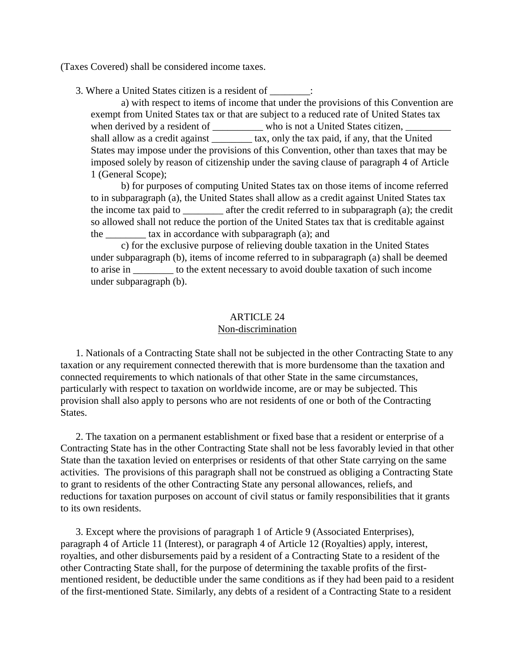<span id="page-19-0"></span>(Taxes Covered) shall be considered income taxes.

3. Where a United States citizen is a resident of \_\_\_\_\_\_\_\_:

a) with respect to items of income that under the provisions of this Convention are exempt from United States tax or that are subject to a reduced rate of United States tax when derived by a resident of \_\_\_\_\_\_\_\_\_\_\_\_ who is not a United States citizen, shall allow as a credit against <u>example</u> tax, only the tax paid, if any, that the United States may impose under the provisions of this Convention, other than taxes that may be imposed solely by reason of citizenship under the saving clause of paragraph 4 of Article 1 (General Scope);

b) for purposes of computing United States tax on those items of income referred to in subparagraph (a), the United States shall allow as a credit against United States tax the income tax paid to \_\_\_\_\_\_\_\_ after the credit referred to in subparagraph (a); the credit so allowed shall not reduce the portion of the United States tax that is creditable against the  $\frac{1}{\sqrt{1-\frac{1}{\sqrt{1-\frac{1}{\sqrt{1-\frac{1}{\sqrt{1-\frac{1}{\sqrt{1-\frac{1}{\sqrt{1-\frac{1}{\sqrt{1-\frac{1}{\sqrt{1-\frac{1}{\sqrt{1-\frac{1}{\sqrt{1-\frac{1}{\sqrt{1-\frac{1}{\sqrt{1-\frac{1}{\sqrt{1-\frac{1}{\sqrt{1-\frac{1}{\sqrt{1-\frac{1}{\sqrt{1-\frac{1}{\sqrt{1-\frac{1}{\sqrt{1-\frac{1}{\sqrt{1-\frac{1}{\sqrt{1-\frac{1}{\sqrt{1-\frac{1}{\sqrt{1-\frac{1}{\sqrt{1-\frac{1}{\sqrt{1$ 

c) for the exclusive purpose of relieving double taxation in the United States under subparagraph (b), items of income referred to in subparagraph (a) shall be deemed to arise in to the extent necessary to avoid double taxation of such income under subparagraph (b).

#### ARTICLE 24 Non-discrimination

 1. Nationals of a Contracting State shall not be subjected in the other Contracting State to any taxation or any requirement connected therewith that is more burdensome than the taxation and connected requirements to which nationals of that other State in the same circumstances, particularly with respect to taxation on worldwide income, are or may be subjected. This provision shall also apply to persons who are not residents of one or both of the Contracting States.

 2. The taxation on a permanent establishment or fixed base that a resident or enterprise of a Contracting State has in the other Contracting State shall not be less favorably levied in that other State than the taxation levied on enterprises or residents of that other State carrying on the same activities. The provisions of this paragraph shall not be construed as obliging a Contracting State to grant to residents of the other Contracting State any personal allowances, reliefs, and reductions for taxation purposes on account of civil status or family responsibilities that it grants to its own residents.

 3. Except where the provisions of paragraph 1 of Article 9 (Associated Enterprises), paragraph 4 of Article 11 (Interest), or paragraph 4 of Article 12 (Royalties) apply, interest, royalties, and other disbursements paid by a resident of a Contracting State to a resident of the other Contracting State shall, for the purpose of determining the taxable profits of the firstmentioned resident, be deductible under the same conditions as if they had been paid to a resident of the first-mentioned State. Similarly, any debts of a resident of a Contracting State to a resident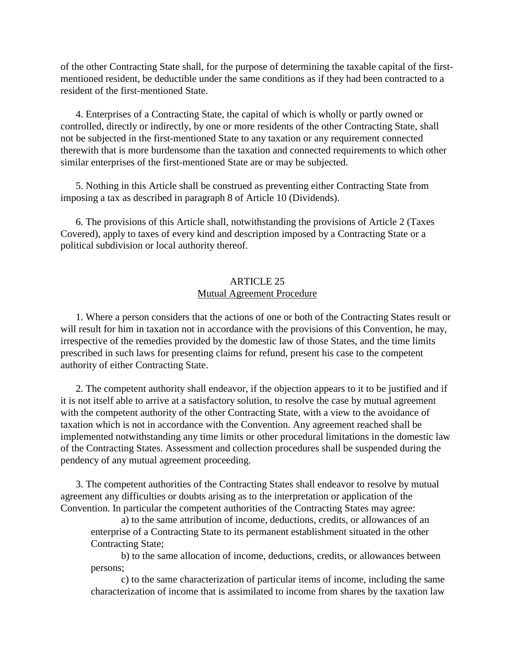<span id="page-20-0"></span>of the other Contracting State shall, for the purpose of determining the taxable capital of the firstmentioned resident, be deductible under the same conditions as if they had been contracted to a resident of the first-mentioned State.

 4. Enterprises of a Contracting State, the capital of which is wholly or partly owned or controlled, directly or indirectly, by one or more residents of the other Contracting State, shall not be subjected in the first-mentioned State to any taxation or any requirement connected therewith that is more burdensome than the taxation and connected requirements to which other similar enterprises of the first-mentioned State are or may be subjected.

 5. Nothing in this Article shall be construed as preventing either Contracting State from imposing a tax as described in paragraph 8 of Article 10 (Dividends).

 6. The provisions of this Article shall, notwithstanding the provisions of Article 2 (Taxes Covered), apply to taxes of every kind and description imposed by a Contracting State or a political subdivision or local authority thereof.

# ARTICLE 25 Mutual Agreement Procedure

 1. Where a person considers that the actions of one or both of the Contracting States result or will result for him in taxation not in accordance with the provisions of this Convention, he may, irrespective of the remedies provided by the domestic law of those States, and the time limits prescribed in such laws for presenting claims for refund, present his case to the competent authority of either Contracting State.

 2. The competent authority shall endeavor, if the objection appears to it to be justified and if it is not itself able to arrive at a satisfactory solution, to resolve the case by mutual agreement with the competent authority of the other Contracting State, with a view to the avoidance of taxation which is not in accordance with the Convention. Any agreement reached shall be implemented notwithstanding any time limits or other procedural limitations in the domestic law of the Contracting States. Assessment and collection procedures shall be suspended during the pendency of any mutual agreement proceeding.

 3. The competent authorities of the Contracting States shall endeavor to resolve by mutual agreement any difficulties or doubts arising as to the interpretation or application of the Convention. In particular the competent authorities of the Contracting States may agree:

a) to the same attribution of income, deductions, credits, or allowances of an enterprise of a Contracting State to its permanent establishment situated in the other Contracting State;

b) to the same allocation of income, deductions, credits, or allowances between persons;

c) to the same characterization of particular items of income, including the same characterization of income that is assimilated to income from shares by the taxation law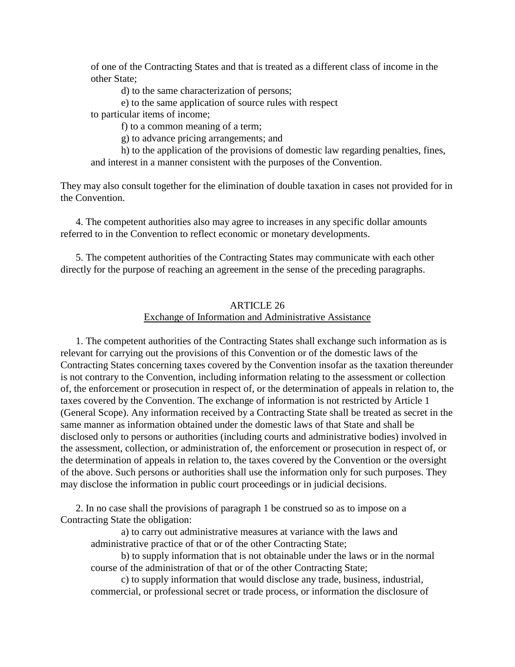<span id="page-21-0"></span>of one of the Contracting States and that is treated as a different class of income in the other State;

d) to the same characterization of persons;

e) to the same application of source rules with respect

to particular items of income;

f) to a common meaning of a term;

g) to advance pricing arrangements; and

h) to the application of the provisions of domestic law regarding penalties, fines, and interest in a manner consistent with the purposes of the Convention.

They may also consult together for the elimination of double taxation in cases not provided for in the Convention.

 4. The competent authorities also may agree to increases in any specific dollar amounts referred to in the Convention to reflect economic or monetary developments.

 5. The competent authorities of the Contracting States may communicate with each other directly for the purpose of reaching an agreement in the sense of the preceding paragraphs.

#### ARTICLE 26

#### Exchange of Information and Administrative Assistance

 1. The competent authorities of the Contracting States shall exchange such information as is relevant for carrying out the provisions of this Convention or of the domestic laws of the Contracting States concerning taxes covered by the Convention insofar as the taxation thereunder is not contrary to the Convention, including information relating to the assessment or collection of, the enforcement or prosecution in respect of, or the determination of appeals in relation to, the taxes covered by the Convention. The exchange of information is not restricted by Article 1 (General Scope). Any information received by a Contracting State shall be treated as secret in the same manner as information obtained under the domestic laws of that State and shall be disclosed only to persons or authorities (including courts and administrative bodies) involved in the assessment, collection, or administration of, the enforcement or prosecution in respect of, or the determination of appeals in relation to, the taxes covered by the Convention or the oversight of the above. Such persons or authorities shall use the information only for such purposes. They may disclose the information in public court proceedings or in judicial decisions.

 2. In no case shall the provisions of paragraph 1 be construed so as to impose on a Contracting State the obligation:

a) to carry out administrative measures at variance with the laws and administrative practice of that or of the other Contracting State;

b) to supply information that is not obtainable under the laws or in the normal course of the administration of that or of the other Contracting State;

c) to supply information that would disclose any trade, business, industrial, commercial, or professional secret or trade process, or information the disclosure of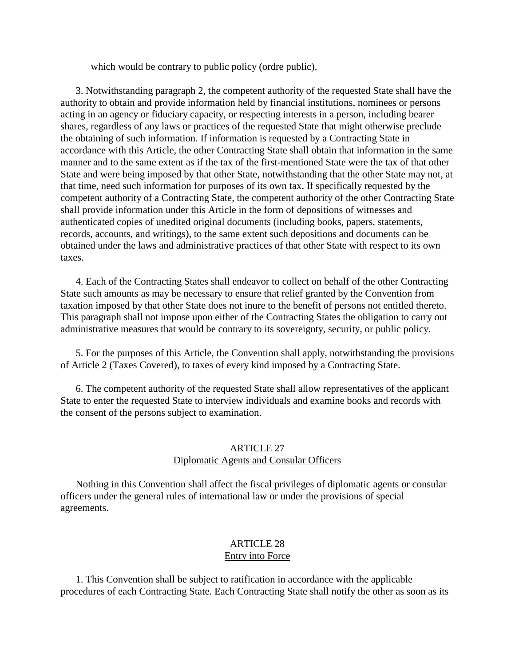which would be contrary to public policy (ordre public).

<span id="page-22-0"></span> 3. Notwithstanding paragraph 2, the competent authority of the requested State shall have the authority to obtain and provide information held by financial institutions, nominees or persons acting in an agency or fiduciary capacity, or respecting interests in a person, including bearer shares, regardless of any laws or practices of the requested State that might otherwise preclude the obtaining of such information. If information is requested by a Contracting State in accordance with this Article, the other Contracting State shall obtain that information in the same manner and to the same extent as if the tax of the first-mentioned State were the tax of that other State and were being imposed by that other State, notwithstanding that the other State may not, at that time, need such information for purposes of its own tax. If specifically requested by the competent authority of a Contracting State, the competent authority of the other Contracting State shall provide information under this Article in the form of depositions of witnesses and authenticated copies of unedited original documents (including books, papers, statements, records, accounts, and writings), to the same extent such depositions and documents can be obtained under the laws and administrative practices of that other State with respect to its own taxes.

 4. Each of the Contracting States shall endeavor to collect on behalf of the other Contracting State such amounts as may be necessary to ensure that relief granted by the Convention from taxation imposed by that other State does not inure to the benefit of persons not entitled thereto. This paragraph shall not impose upon either of the Contracting States the obligation to carry out administrative measures that would be contrary to its sovereignty, security, or public policy.

 5. For the purposes of this Article, the Convention shall apply, notwithstanding the provisions of Article 2 (Taxes Covered), to taxes of every kind imposed by a Contracting State.

 6. The competent authority of the requested State shall allow representatives of the applicant State to enter the requested State to interview individuals and examine books and records with the consent of the persons subject to examination.

# ARTICLE 27 Diplomatic Agents and Consular Officers

 Nothing in this Convention shall affect the fiscal privileges of diplomatic agents or consular officers under the general rules of international law or under the provisions of special agreements.

### ARTICLE 28 Entry into Force

 1. This Convention shall be subject to ratification in accordance with the applicable procedures of each Contracting State. Each Contracting State shall notify the other as soon as its